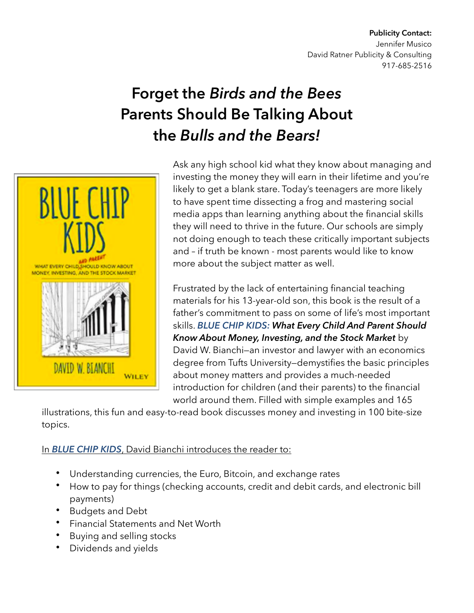## **Publicity Contact:**  Jennifer Musico David Ratner Publicity & Consulting 917-685-2516

## **Forget the** *Birds and the Bees* **Parents Should Be Talking About the** *Bulls and the Bears!*



Ask any high school kid what they know about managing and investing the money they will earn in their lifetime and you're likely to get a blank stare. Today's teenagers are more likely to have spent time dissecting a frog and mastering social media apps than learning anything about the financial skills they will need to thrive in the future. Our schools are simply not doing enough to teach these critically important subjects and – if truth be known - most parents would like to know more about the subject matter as well.

Frustrated by the lack of entertaining financial teaching materials for his 13-year-old son, this book is the result of a father's commitment to pass on some of life's most important skills. *BLUE CHIP KIDS: What Every Child And Parent Should Know About Money, Investing, and the Stock Market* by David W. Bianchi—an investor and lawyer with an economics degree from Tufts University—demystifies the basic principles about money matters and provides a much-needed introduction for children (and their parents) to the financial world around them. Filled with simple examples and 165

illustrations, this fun and easy-to-read book discusses money and investing in 100 bite-size topics.

## In *BLUE CHIP KIDS*, David Bianchi introduces the reader to:

- Understanding currencies, the Euro, Bitcoin, and exchange rates
- How to pay for things (checking accounts, credit and debit cards, and electronic bill payments)
- Budgets and Debt
- Financial Statements and Net Worth
- Buying and selling stocks
- Dividends and yields